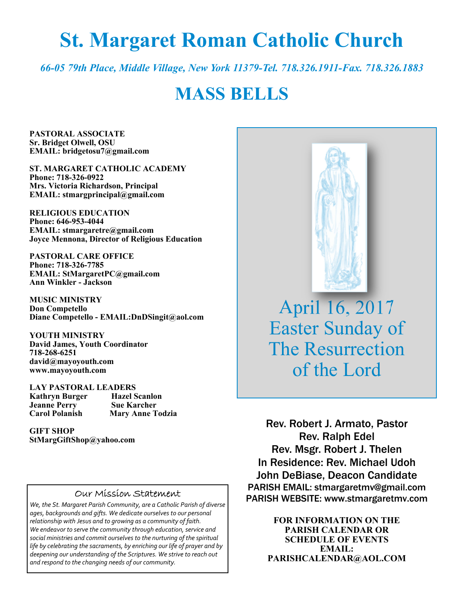# **St. Margaret Roman Catholic Church**

*66-05 79th Place, Middle Village, New York 11379-Tel. 718.326.1911-Fax. 718.326.1883* 

# **MASS BELLS**

**PASTORAL ASSOCIATE Sr. Bridget Olwell, OSU EMAIL: bridgetosu7@gmail.com** 

**ST. MARGARET CATHOLIC ACADEMY Phone: 718-326-0922 Mrs. Victoria Richardson, Principal EMAIL: stmargprincipal@gmail.com** 

**RELIGIOUS EDUCATION Phone: 646-953-4044 EMAIL: stmargaretre@gmail.com Joyce Mennona, Director of Religious Education** 

**PASTORAL CARE OFFICE Phone: 718-326-7785 EMAIL: StMargaretPC@gmail.com Ann Winkler - Jackson** 

**MUSIC MINISTRY Don Competello Diane Competello - EMAIL:DnDSingit@aol.com** 

**YOUTH MINISTRY David James, Youth Coordinator 718-268-6251 david@mayoyouth.com www.mayoyouth.com** 

**LAY PASTORAL LEADERS Kathryn Burger Hazel Scanlon Jeanne Perry Carol Polanish Mary Anne Todzia** 

**GIFT SHOP StMargGiftShop@yahoo.com**

#### Our Mission Statement

*We, the St. Margaret Parish Community, are a Catholic Parish of diverse ages, backgrounds and gifts. We dedicate ourselves to our personal relationship with Jesus and to growing as a community of faith. We endeavor to serve the community through education, service and social ministries and commit ourselves to the nurturing of the spiritual life by celebrating the sacraments, by enriching our life of prayer and by deepening our understanding of the Scriptures. We strive to reach out and respond to the changing needs of our community.*



April 16, 2017 Easter Sunday of The Resurrection of the Lord

Rev. Robert J. Armato, Pastor Rev. Ralph Edel Rev. Msgr. Robert J. Thelen In Residence: Rev. Michael Udoh John DeBiase, Deacon Candidate PARISH EMAIL: stmargaretmv@gmail.com PARISH WEBSITE: www.stmargaretmv.com

> **FOR INFORMATION ON THE PARISH CALENDAR OR SCHEDULE OF EVENTS EMAIL: PARISHCALENDAR@AOL.COM**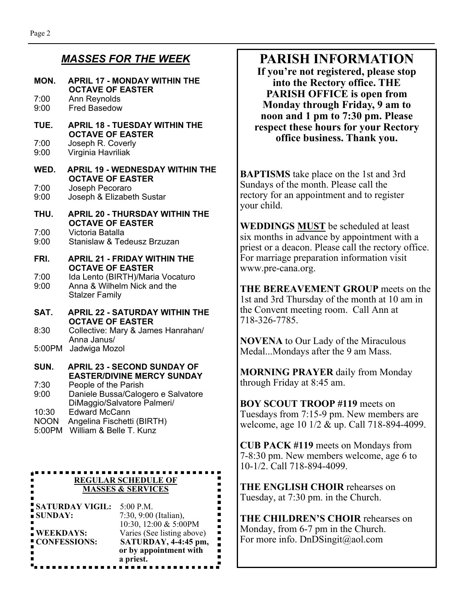### *MASSES FOR THE WEEK*

#### **MON. APRIL 17 - MONDAY WITHIN THE OCTAVE OF EASTER**  7:00 Ann Reynolds 9:00 Fred Basedow **TUE. APRIL 18 - TUESDAY WITHIN THE OCTAVE OF EASTER**<br> **7:00 Doseph R** Coverly Joseph R. Coverly 9:00 Virginia Havriliak **WED. APRIL 19 - WEDNESDAY WITHIN THE OCTAVE OF EASTER**  7:00 Joseph Pecoraro 9:00 Joseph & Elizabeth Sustar **THU. APRIL 20 - THURSDAY WITHIN THE OCTAVE OF EASTER**  7:00 Victoria Batalla Stanislaw & Tedeusz Brzuzan **FRI. APRIL 21 - FRIDAY WITHIN THE OCTAVE OF EASTER**  7:00 Ida Lento (BIRTH)/Maria Vocaturo 9:00 Anna & Wilhelm Nick and the Stalzer Family **SAT. APRIL 22 - SATURDAY WITHIN THE OCTAVE OF EASTER**  8:30 Collective: Mary & James Hanrahan/ Anna Janus/ 5:00PM Jadwiga Mozol **SUN. APRIL 23 - SECOND SUNDAY OF EASTER/DIVINE MERCY SUNDAY**  7:30 People of the Parish 9:00 Daniele Bussa/Calogero e Salvatore DiMaggio/Salvatore Palmeri/ 10:30 Edward McCann NOON Angelina Fischetti (BIRTH)

5:00PM William & Belle T. Kunz

### **REGULAR SCHEDULE OF MASSES & SERVICES**

| <b>SATURDAY VIGIL:</b><br>SUNDAY: | $5:00$ P.M.<br>7:30, 9:00 (Italian),                |
|-----------------------------------|-----------------------------------------------------|
| <b>WEEKDAYS:</b>                  | 10:30, 12:00 & 5:00PM<br>Varies (See listing above) |
| CONFESSIONS:                      | SATURDAY, 4-4:45 pm,<br>or by appointment with      |
|                                   | a priest.                                           |

# **PARISH INFORMATION**

**If you're not registered, please stop into the Rectory office. THE PARISH OFFICE is open from Monday through Friday, 9 am to noon and 1 pm to 7:30 pm. Please respect these hours for your Rectory office business. Thank you.** 

**BAPTISMS** take place on the 1st and 3rd Sundays of the month. Please call the rectory for an appointment and to register your child.

**WEDDINGS MUST** be scheduled at least six months in advance by appointment with a priest or a deacon. Please call the rectory office. For marriage preparation information visit www.pre-cana.org.

**THE BEREAVEMENT GROUP** meets on the 1st and 3rd Thursday of the month at 10 am in the Convent meeting room. Call Ann at 718-326-7785.

**NOVENA** to Our Lady of the Miraculous Medal...Mondays after the 9 am Mass.

**MORNING PRAYER** daily from Monday through Friday at 8:45 am.

**BOY SCOUT TROOP #119** meets on Tuesdays from 7:15-9 pm. New members are welcome, age 10 1/2 & up. Call 718-894-4099.

**CUB PACK #119** meets on Mondays from 7-8:30 pm. New members welcome, age 6 to 10-1/2. Call 718-894-4099.

**THE ENGLISH CHOIR** rehearses on Tuesday, at 7:30 pm. in the Church.

**THE CHILDREN'S CHOIR** rehearses on Monday, from 6-7 pm in the Church. For more info. DnDSingit@aol.com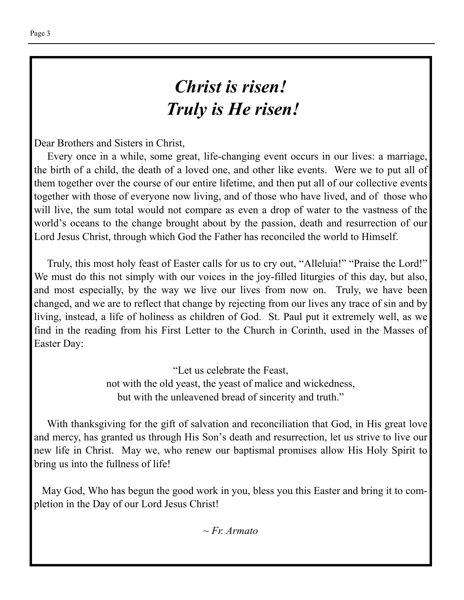# *Christ is risen! Truly is He risen!*

Dear Brothers and Sisters in Christ,

 Every once in a while, some great, life-changing event occurs in our lives: a marriage, the birth of a child, the death of a loved one, and other like events. Were we to put all of them together over the course of our entire lifetime, and then put all of our collective events together with those of everyone now living, and of those who have lived, and of those who will live, the sum total would not compare as even a drop of water to the vastness of the world's oceans to the change brought about by the passion, death and resurrection of our Lord Jesus Christ, through which God the Father has reconciled the world to Himself.

 Truly, this most holy feast of Easter calls for us to cry out, "Alleluia!" "Praise the Lord!" We must do this not simply with our voices in the joy-filled liturgies of this day, but also, and most especially, by the way we live our lives from now on. Truly, we have been changed, and we are to reflect that change by rejecting from our lives any trace of sin and by living, instead, a life of holiness as children of God. St. Paul put it extremely well, as we find in the reading from his First Letter to the Church in Corinth, used in the Masses of Easter Day:

> "Let us celebrate the Feast, not with the old yeast, the yeast of malice and wickedness, but with the unleavened bread of sincerity and truth."

 With thanksgiving for the gift of salvation and reconciliation that God, in His great love and mercy, has granted us through His Son's death and resurrection, let us strive to live our new life in Christ. May we, who renew our baptismal promises allow His Holy Spirit to bring us into the fullness of life!

 May God, Who has begun the good work in you, bless you this Easter and bring it to completion in the Day of our Lord Jesus Christ!

*~ Fr. Armato*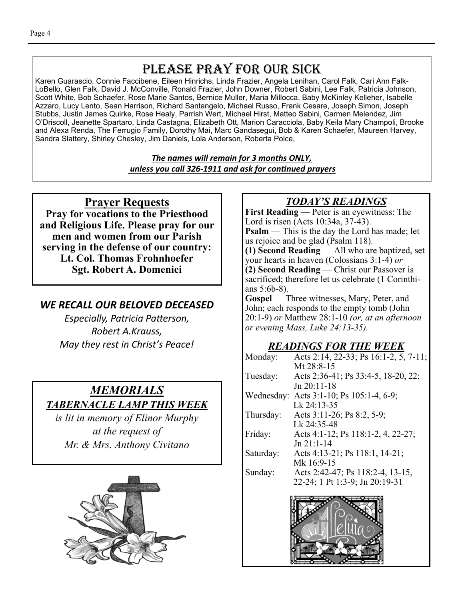# PLEASE PRAY FOR OUR SICK

Karen Guarascio, Connie Faccibene, Eileen Hinrichs, Linda Frazier, Angela Lenihan, Carol Falk, Cari Ann Falk-LoBello, Glen Falk, David J. McConville, Ronald Frazier, John Downer, Robert Sabini, Lee Falk, Patricia Johnson, Scott White, Bob Schaefer, Rose Marie Santos, Bernice Muller, Maria Millocca, Baby McKinley Kelleher, Isabelle Azzaro, Lucy Lento, Sean Harrison, Richard Santangelo, Michael Russo, Frank Cesare, Joseph Simon, Joseph Stubbs, Justin James Quirke, Rose Healy, Parrish Wert, Michael Hirst, Matteo Sabini, Carmen Melendez, Jim O'Driscoll, Jeanette Spartaro, Linda Castagna, Elizabeth Ott, Marion Caracciola, Baby Keila Mary Champoli, Brooke and Alexa Renda, The Ferrugio Family, Dorothy Mai, Marc Gandasegui, Bob & Karen Schaefer, Maureen Harvey, Sandra Slattery, Shirley Chesley, Jim Daniels, Lola Anderson, Roberta Polce,

> *The names will remain for 3 months ONLY, unless you call 326-1911 and ask for conƟnued prayers*

# **Prayer Requests**

**Pray for vocations to the Priesthood and Religious Life. Please pray for our men and women from our Parish serving in the defense of our country: Lt. Col. Thomas Frohnhoefer Sgt. Robert A. Domenici** 

## *WE RECALL OUR BELOVED DECEASED*

*Especially, Patricia PaƩerson, Robert A.Krauss, May they rest in Christ's Peace!* 

# *MEMORIALS TABERNACLE LAMP THIS WEEK*

*is lit in memory of Elinor Murphy at the request of Mr. & Mrs. Anthony Civitano* 



# *TODAY'S READINGS*

**First Reading** — Peter is an eyewitness: The Lord is risen (Acts 10:34a, 37-43). **Psalm** — This is the day the Lord has made; let us rejoice and be glad (Psalm 118). **(1) Second Reading** — All who are baptized, set your hearts in heaven (Colossians 3:1-4) *or* **(2) Second Reading** — Christ our Passover is sacrificed; therefore let us celebrate (1 Corinthians 5:6b-8).

Gospel — Three witnesses, Mary, Peter, and John; each responds to the empty tomb (John 20:1-9) *or* Matthew 28:1-10 *(or, at an afternoon or evening Mass, Luke 24:13-35).* 

# *READINGS FOR THE WEEK*

| Monday:    | Acts 2:14, 22-33; Ps 16:1-2, 5, 7-11; |
|------------|---------------------------------------|
|            | Mt $28:8-15$                          |
| Tuesday:   | Acts 2:36-41; Ps 33:4-5, 18-20, 22;   |
|            | $Jn 20:11-18$                         |
| Wednesday: | Acts 3:1-10; Ps $105:1-4, 6-9$ ;      |
|            | Lk 24:13-35                           |
| Thursday:  | Acts 3:11-26; Ps 8:2, 5-9;            |
|            | Lk 24:35-48                           |
| Friday:    | Acts 4:1-12; Ps 118:1-2, 4, 22-27;    |
|            | $Jn 21:1-14$                          |
| Saturday:  | Acts 4:13-21; Ps 118:1, 14-21;        |
|            | Mk 16:9-15                            |
| Sunday:    | Acts 2:42-47; Ps 118:2-4, 13-15,      |
|            | 22-24; 1 Pt 1:3-9; Jn 20:19-31        |
|            |                                       |

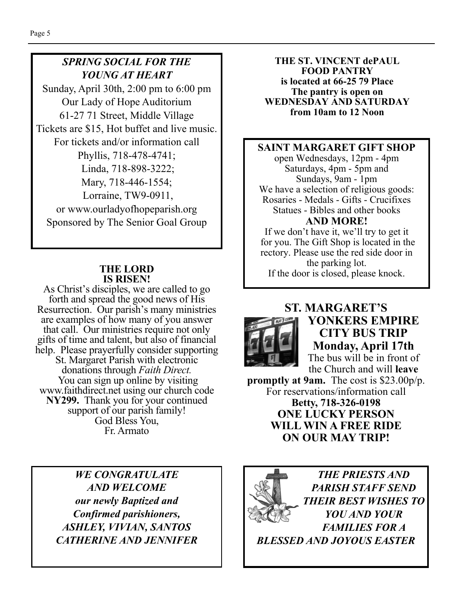# *SPRING SOCIAL FOR THE YOUNG AT HEART*

Sunday, April 30th, 2:00 pm to 6:00 pm Our Lady of Hope Auditorium 61-27 71 Street, Middle Village Tickets are \$15, Hot buffet and live music. For tickets and/or information call Phyllis, 718-478-4741; Linda, 718-898-3222; Mary, 718-446-1554; Lorraine, TW9-0911, or www.ourladyofhopeparish.org Sponsored by The Senior Goal Group

#### **THE LORD IS RISEN!**

As Christ's disciples, we are called to go forth and spread the good news of His Resurrection. Our parish's many ministries are examples of how many of you answer that call. Our ministries require not only gifts of time and talent, but also of financial help. Please prayerfully consider supporting St. Margaret Parish with electronic donations through *Faith Direct.*  You can sign up online by visiting www.faithdirect.net using our church code **NY299.** Thank you for your continued support of our parish family! God Bless You, Fr. Armato

> *WE CONGRATULATE AND WELCOME our newly Baptized and Confirmed parishioners, ASHLEY, VIVIAN, SANTOS CATHERINE AND JENNIFER*

**THE ST. VINCENT dePAUL FOOD PANTRY is located at 66-25 79 Place The pantry is open on WEDNESDAY AND SATURDAY from 10am to 12 Noon** 

#### **SAINT MARGARET GIFT SHOP**

open Wednesdays, 12pm - 4pm Saturdays, 4pm - 5pm and Sundays, 9am - 1pm We have a selection of religious goods: Rosaries - Medals - Gifts - Crucifixes Statues - Bibles and other books **AND MORE!** 

If we don't have it, we'll try to get it for you. The Gift Shop is located in the rectory. Please use the red side door in

the parking lot. If the door is closed, please knock.



**ST. MARGARET'S YONKERS EMPIRE CITY BUS TRIP Monday, April 17th**  The bus will be in front of

the Church and will **leave** 

**promptly at 9am.** The cost is \$23.00p/p. For reservations/information call **Betty, 718-326-0198 ONE LUCKY PERSON WILL WIN A FREE RIDE ON OUR MAY TRIP!** 

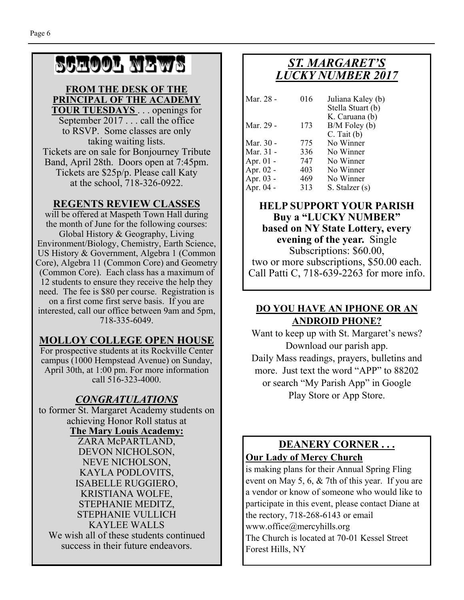# SCHOOL NEWS

#### **FROM THE DESK OF THE PRINCIPAL OF THE ACADEMY TOUR TUESDAYS** . . . openings for

September 2017 . . . call the office to RSVP. Some classes are only taking waiting lists. Tickets are on sale for Bonjourney Tribute Band, April 28th. Doors open at 7:45pm. Tickets are \$25p/p. Please call Katy at the school, 718-326-0922.

#### **REGENTS REVIEW CLASSES**

will be offered at Maspeth Town Hall during the month of June for the following courses: Global History & Geography, Living Environment/Biology, Chemistry, Earth Science, US History & Government, Algebra 1 (Common Core), Algebra 11 (Common Core) and Geometry (Common Core). Each class has a maximum of 12 students to ensure they receive the help they need. The fee is \$80 per course. Registration is on a first come first serve basis. If you are interested, call our office between 9am and 5pm, 718-335-6049.

#### **MOLLOY COLLEGE OPEN HOUSE**

For prospective students at its Rockville Center campus (1000 Hempstead Avenue) on Sunday, April 30th, at 1:00 pm. For more information call 516-323-4000.

### *CONGRATULATIONS*

to former St. Margaret Academy students on achieving Honor Roll status at

**The Mary Louis Academy:**  ZARA McPARTLAND, DEVON NICHOLSON, NEVE NICHOLSON, KAYLA PODLOVITS, ISABELLE RUGGIERO, KRISTIANA WOLFE, STEPHANIE MEDITZ, STEPHANIE VULLICH KAYLEE WALLS We wish all of these students continued success in their future endeavors.

# *ST. MARGARET'S LUCKY NUMBER 2017*

| Mar. 28 -   | 016 | Juliana Kaley (b)                   |
|-------------|-----|-------------------------------------|
|             |     | Stella Stuart (b)<br>K. Caruana (b) |
| Mar. 29 -   | 173 | $B/M$ Foley (b)                     |
|             |     | $C.$ Tait $(b)$                     |
| Mar. 30 -   | 775 | No Winner                           |
| Mar. 31 -   | 336 | No Winner                           |
| Apr. $01$ - | 747 | No Winner                           |
| Apr. 02 -   | 403 | No Winner                           |
| Apr. 03 -   | 469 | No Winner                           |
| Apr. 04 -   | 313 | S. Stalzer (s)                      |

#### **HELP SUPPORT YOUR PARISH Buy a "LUCKY NUMBER" based on NY State Lottery, every evening of the year.** Single Subscriptions: \$60.00,

two or more subscriptions, \$50.00 each. Call Patti C, 718-639-2263 for more info.

### **DO YOU HAVE AN IPHONE OR AN ANDROID PHONE?**

Want to keep up with St. Margaret's news? Download our parish app. Daily Mass readings, prayers, bulletins and more. Just text the word "APP" to 88202 or search "My Parish App" in Google Play Store or App Store.

## **DEANERY CORNER . . . Our Lady of Mercy Church**

is making plans for their Annual Spring Fling event on May 5, 6, & 7th of this year. If you are a vendor or know of someone who would like to participate in this event, please contact Diane at the rectory, 718-268-6143 or email www.office@mercyhills.org The Church is located at 70-01 Kessel Street Forest Hills, NY